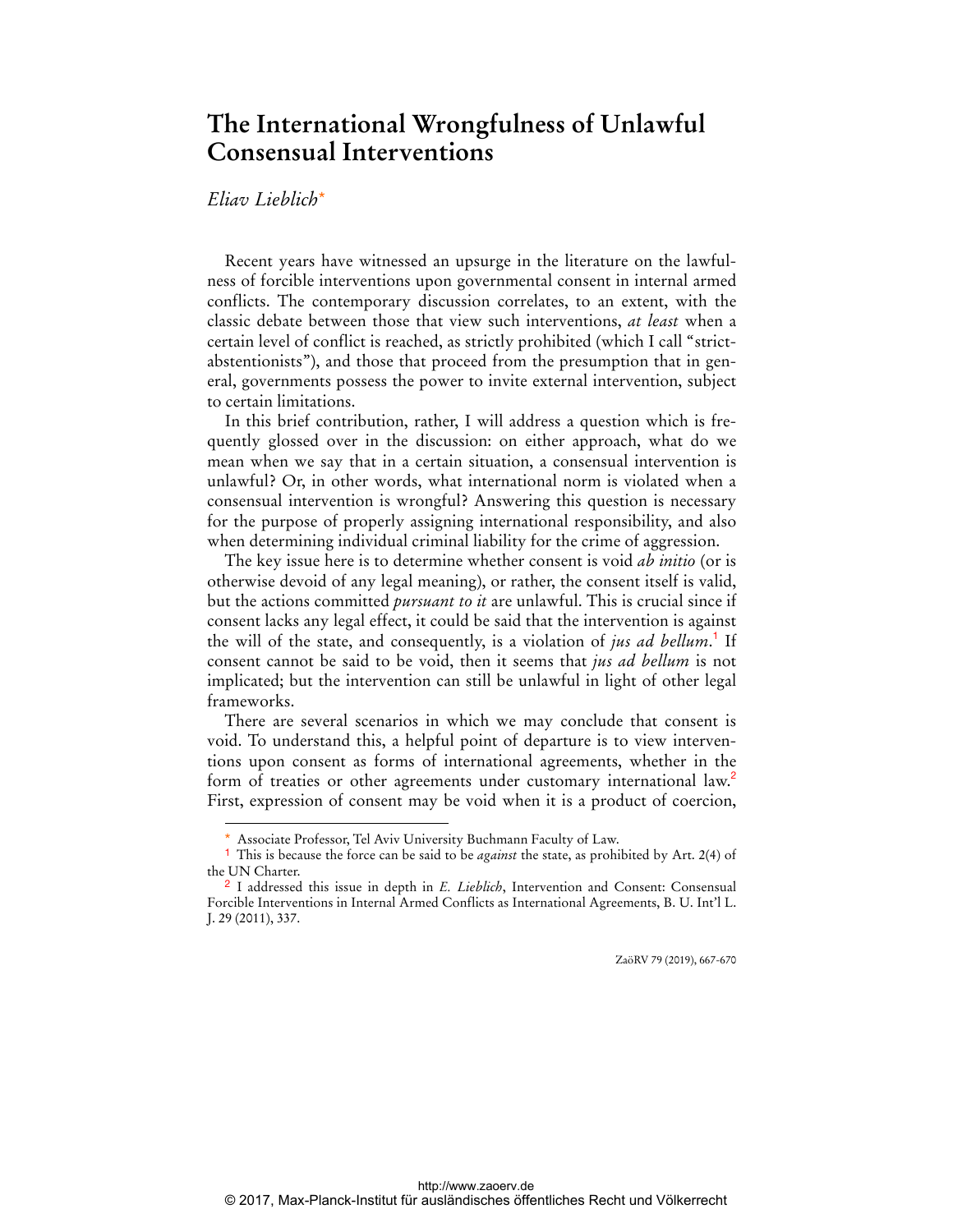## **The International Wrongfulness of Unlawful Consensual Interventions**

## *Eliav Lieblich*\*

 $\overline{a}$ 

Recent years have witnessed an upsurge in the literature on the lawfulness of forcible interventions upon governmental consent in internal armed conflicts. The contemporary discussion correlates, to an extent, with the classic debate between those that view such interventions, *at least* when a certain level of conflict is reached, as strictly prohibited (which I call "strictabstentionists"), and those that proceed from the presumption that in general, governments possess the power to invite external intervention, subject to certain limitations.

In this brief contribution, rather, I will address a question which is frequently glossed over in the discussion: on either approach, what do we mean when we say that in a certain situation, a consensual intervention is unlawful? Or, in other words, what international norm is violated when a consensual intervention is wrongful? Answering this question is necessary for the purpose of properly assigning international responsibility, and also when determining individual criminal liability for the crime of aggression.

The key issue here is to determine whether consent is void *ab initio* (or is otherwise devoid of any legal meaning), or rather, the consent itself is valid, but the actions committed *pursuant to it* are unlawful. This is crucial since if consent lacks any legal effect, it could be said that the intervention is against the will of the state, and consequently, is a violation of *jus ad bellum*. 1 If consent cannot be said to be void, then it seems that *jus ad bellum* is not implicated; but the intervention can still be unlawful in light of other legal frameworks.

There are several scenarios in which we may conclude that consent is void. To understand this, a helpful point of departure is to view interventions upon consent as forms of international agreements, whether in the form of treaties or other agreements under customary international law.<sup>2</sup> First, expression of consent may be void when it is a product of coercion,

ZaöRV 79 (2019), 667-670

Associate Professor, Tel Aviv University Buchmann Faculty of Law.

<sup>1</sup> This is because the force can be said to be *against* the state, as prohibited by Art. 2(4) of the UN Charter.

<sup>2</sup> I addressed this issue in depth in *E. Lieblich*, Intervention and Consent: Consensual Forcible Interventions in Internal Armed Conflicts as International Agreements, B. U. Int'l L. J. 29 (2011), 337.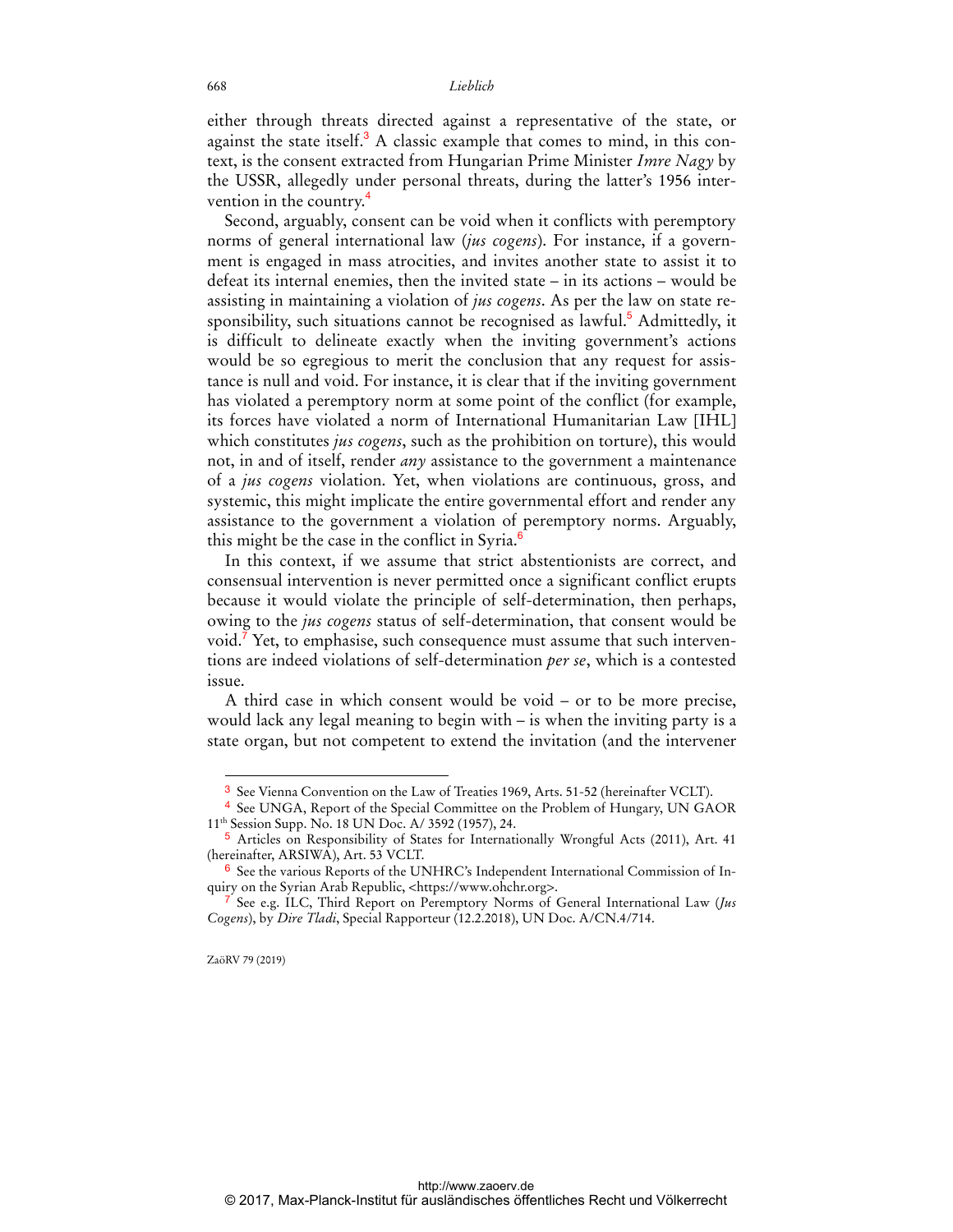either through threats directed against a representative of the state, or against the state itself.<sup>3</sup> A classic example that comes to mind, in this context, is the consent extracted from Hungarian Prime Minister *Imre Nagy* by the USSR, allegedly under personal threats, during the latter's 1956 intervention in the country.<sup>4</sup>

Second, arguably, consent can be void when it conflicts with peremptory norms of general international law (*jus cogens*). For instance, if a government is engaged in mass atrocities, and invites another state to assist it to defeat its internal enemies, then the invited state – in its actions – would be assisting in maintaining a violation of *jus cogens*. As per the law on state responsibility, such situations cannot be recognised as lawful.<sup>5</sup> Admittedly, it is difficult to delineate exactly when the inviting government's actions would be so egregious to merit the conclusion that any request for assistance is null and void. For instance, it is clear that if the inviting government has violated a peremptory norm at some point of the conflict (for example, its forces have violated a norm of International Humanitarian Law [IHL] which constitutes *jus cogens*, such as the prohibition on torture), this would not, in and of itself, render *any* assistance to the government a maintenance of a *jus cogens* violation. Yet, when violations are continuous, gross, and systemic, this might implicate the entire governmental effort and render any assistance to the government a violation of peremptory norms. Arguably, this might be the case in the conflict in Syria.<sup>6</sup>

In this context, if we assume that strict abstentionists are correct, and consensual intervention is never permitted once a significant conflict erupts because it would violate the principle of self-determination, then perhaps, owing to the *jus cogens* status of self-determination, that consent would be void.<sup>7</sup> Yet, to emphasise, such consequence must assume that such interventions are indeed violations of self-determination *per se*, which is a contested issue.

A third case in which consent would be void – or to be more precise, would lack any legal meaning to begin with – is when the inviting party is a state organ, but not competent to extend the invitation (and the intervener

ZaöRV 79 (2019)

 $\overline{a}$ 

<sup>3</sup> See Vienna Convention on the Law of Treaties 1969, Arts. 51-52 (hereinafter VCLT).

<sup>4</sup> See UNGA, Report of the Special Committee on the Problem of Hungary, UN GAOR 11th Session Supp. No. 18 UN Doc. A/ 3592 (1957), 24.

<sup>5</sup> Articles on Responsibility of States for Internationally Wrongful Acts (2011), Art. 41 (hereinafter, ARSIWA), Art. 53 VCLT.

<sup>6</sup> See the various Reports of the UNHRC's Independent International Commission of Inquiry on the Syrian Arab Republic, <https://www.ohchr.org>.

<sup>7</sup> See e.g. ILC, Third Report on Peremptory Norms of General International Law (*Jus Cogens*), by *Dire Tladi*, Special Rapporteur (12.2.2018), UN Doc. A/CN.4/714.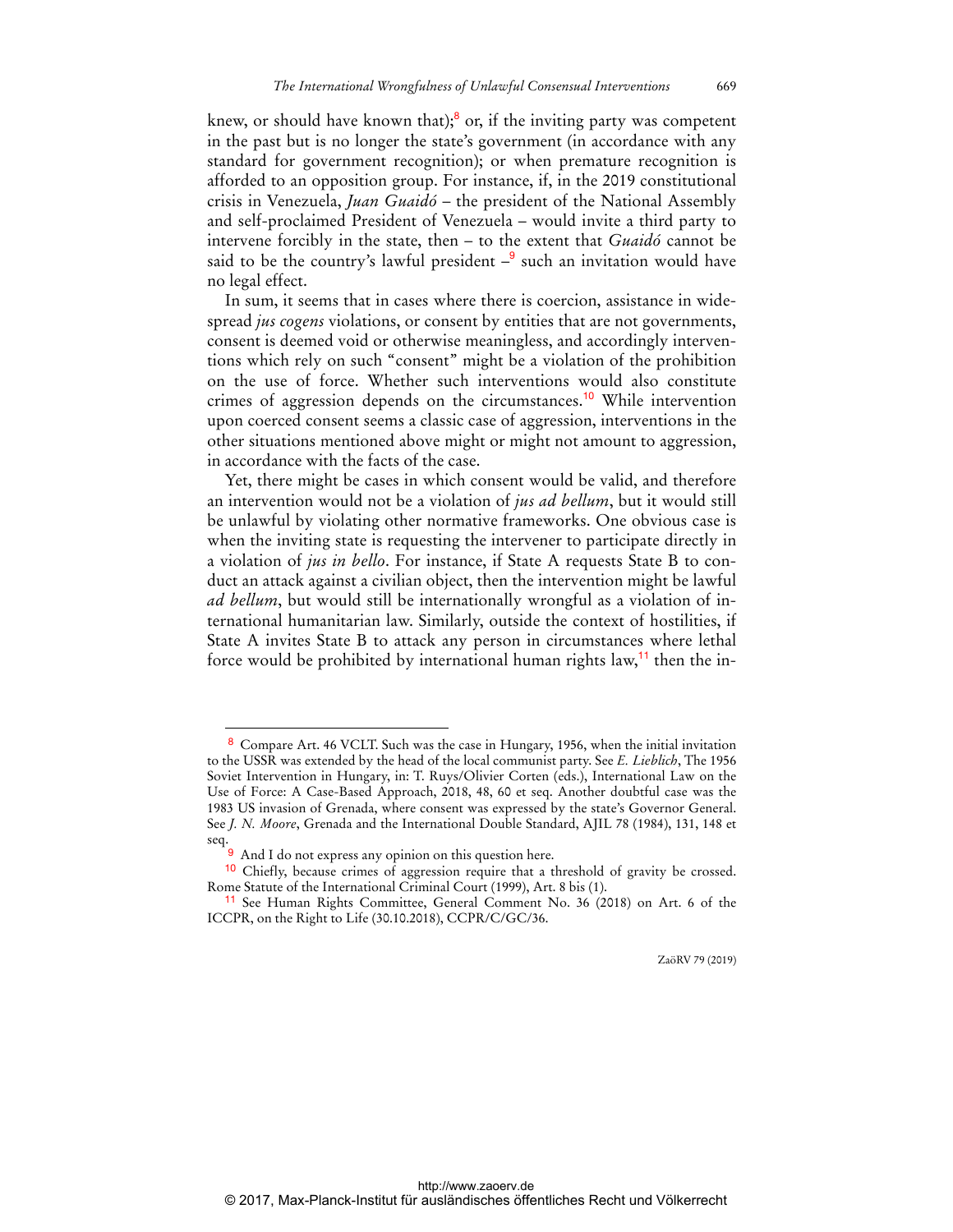knew, or should have known that);<sup>8</sup> or, if the inviting party was competent in the past but is no longer the state's government (in accordance with any standard for government recognition); or when premature recognition is afforded to an opposition group. For instance, if, in the 2019 constitutional crisis in Venezuela, *Juan Guaidó* – the president of the National Assembly and self-proclaimed President of Venezuela – would invite a third party to intervene forcibly in the state, then – to the extent that *Guaidó* cannot be said to be the country's lawful president  $-\frac{9}{5}$  such an invitation would have no legal effect.

In sum, it seems that in cases where there is coercion, assistance in widespread *jus cogens* violations, or consent by entities that are not governments, consent is deemed void or otherwise meaningless, and accordingly interventions which rely on such "consent" might be a violation of the prohibition on the use of force. Whether such interventions would also constitute crimes of aggression depends on the circumstances.<sup>10</sup> While intervention upon coerced consent seems a classic case of aggression, interventions in the other situations mentioned above might or might not amount to aggression, in accordance with the facts of the case.

Yet, there might be cases in which consent would be valid, and therefore an intervention would not be a violation of *jus ad bellum*, but it would still be unlawful by violating other normative frameworks. One obvious case is when the inviting state is requesting the intervener to participate directly in a violation of *jus in bello*. For instance, if State A requests State B to conduct an attack against a civilian object, then the intervention might be lawful *ad bellum*, but would still be internationally wrongful as a violation of international humanitarian law. Similarly, outside the context of hostilities, if State A invites State B to attack any person in circumstances where lethal force would be prohibited by international human rights law,<sup>11</sup> then the in-

 $\overline{a}$ 

ZaöRV 79 (2019)

<sup>8</sup> Compare Art. 46 VCLT. Such was the case in Hungary, 1956, when the initial invitation to the USSR was extended by the head of the local communist party. See *E. Lieblich*, The 1956 Soviet Intervention in Hungary, in: T. Ruys/Olivier Corten (eds.), International Law on the Use of Force: A Case-Based Approach, 2018, 48, 60 et seq. Another doubtful case was the 1983 US invasion of Grenada, where consent was expressed by the state's Governor General. See *J. N. Moore*, Grenada and the International Double Standard, AJIL 78 (1984), 131, 148 et seq.

<sup>9</sup> And I do not express any opinion on this question here.

<sup>10</sup> Chiefly, because crimes of aggression require that a threshold of gravity be crossed. Rome Statute of the International Criminal Court (1999), Art. 8 bis (1).

<sup>11</sup> See Human Rights Committee, General Comment No. 36 (2018) on Art. 6 of the ICCPR, on the Right to Life (30.10.2018), CCPR/C/GC/36.